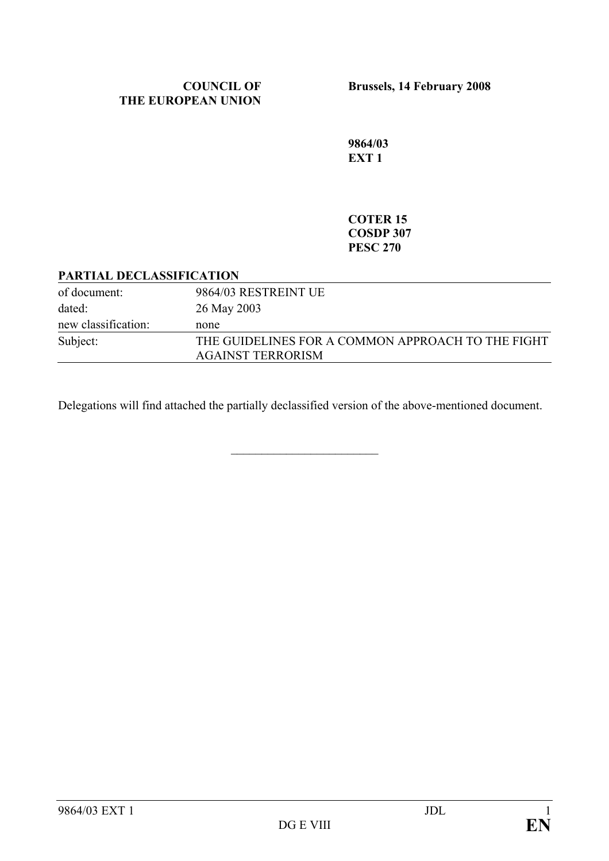**Brussels, 14 February 2008** 

**9864/03 EXT 1** 

#### **COTER 15 COSDP 307 PESC 270**

#### **PARTIAL DECLASSIFICATION**

| of document:        | 9864/03 RESTREINT UE                              |
|---------------------|---------------------------------------------------|
| dated:              | 26 May 2003                                       |
| new classification: | none                                              |
| Subject:            | THE GUIDELINES FOR A COMMON APPROACH TO THE FIGHT |
|                     | <b>AGAINST TERRORISM</b>                          |

Delegations will find attached the partially declassified version of the above-mentioned document.

 $\mathcal{L}_\text{max}$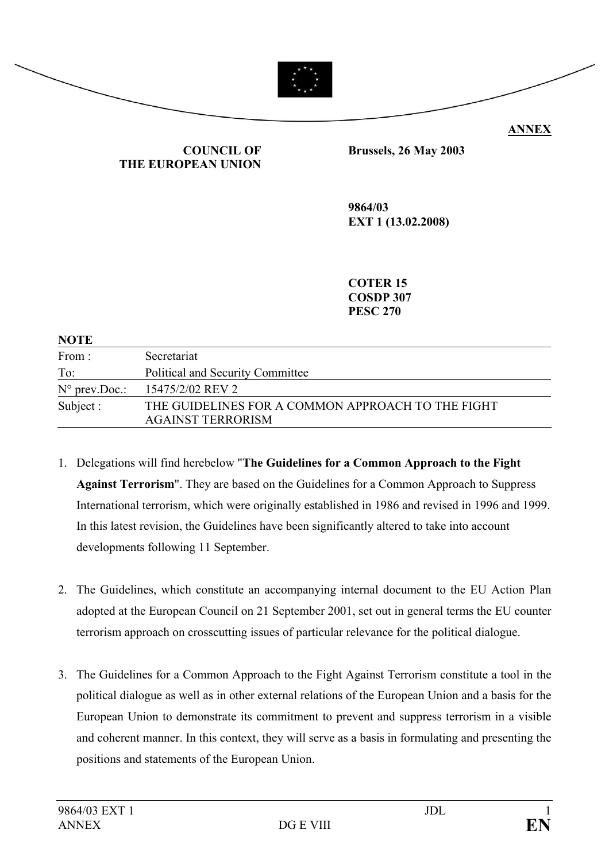

#### **COUNCIL OF THE EUROPEAN UNION**

**Brussels, 26 May 2003** 

**9864/03 EXT 1 (13.02.2008)** 

**COTER 15 COSDP 307 PESC 270** 

| <b>NOTE</b>             |                                                                               |
|-------------------------|-------------------------------------------------------------------------------|
| From:                   | Secretariat                                                                   |
| To:                     | Political and Security Committee                                              |
| $N^{\circ}$ prev. Doc.: | 15475/2/02 REV 2                                                              |
| Subject :               | THE GUIDELINES FOR A COMMON APPROACH TO THE FIGHT<br><b>AGAINST TERRORISM</b> |

- 1. Delegations will find herebelow "**The Guidelines for a Common Approach to the Fight Against Terrorism**". They are based on the Guidelines for a Common Approach to Suppress International terrorism, which were originally established in 1986 and revised in 1996 and 1999. In this latest revision, the Guidelines have been significantly altered to take into account developments following 11 September.
- 2. The Guidelines, which constitute an accompanying internal document to the EU Action Plan adopted at the European Council on 21 September 2001, set out in general terms the EU counter terrorism approach on crosscutting issues of particular relevance for the political dialogue.
- 3. The Guidelines for a Common Approach to the Fight Against Terrorism constitute a tool in the political dialogue as well as in other external relations of the European Union and a basis for the European Union to demonstrate its commitment to prevent and suppress terrorism in a visible and coherent manner. In this context, they will serve as a basis in formulating and presenting the positions and statements of the European Union.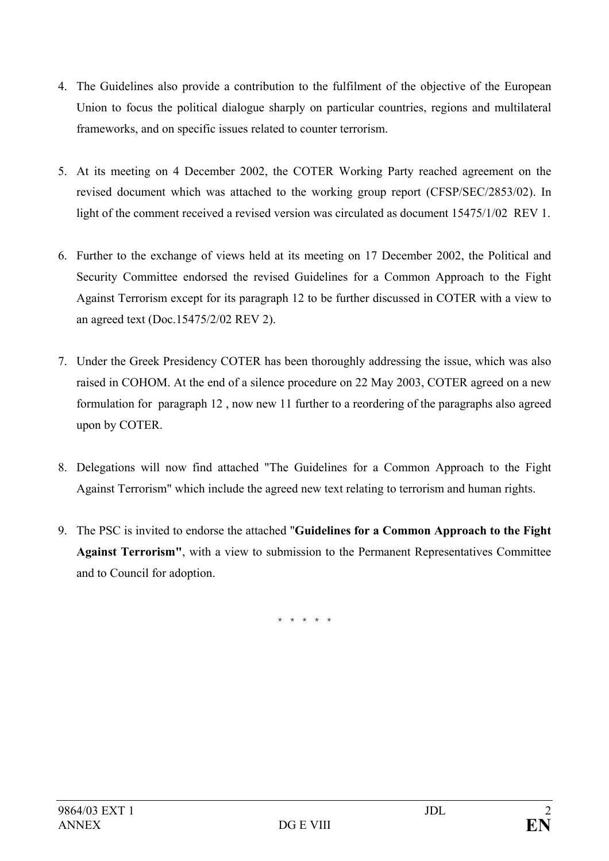- 4. The Guidelines also provide a contribution to the fulfilment of the objective of the European Union to focus the political dialogue sharply on particular countries, regions and multilateral frameworks, and on specific issues related to counter terrorism.
- 5. At its meeting on 4 December 2002, the COTER Working Party reached agreement on the revised document which was attached to the working group report (CFSP/SEC/2853/02). In light of the comment received a revised version was circulated as document 15475/1/02 REV 1.
- 6. Further to the exchange of views held at its meeting on 17 December 2002, the Political and Security Committee endorsed the revised Guidelines for a Common Approach to the Fight Against Terrorism except for its paragraph 12 to be further discussed in COTER with a view to an agreed text (Doc.15475/2/02 REV 2).
- 7. Under the Greek Presidency COTER has been thoroughly addressing the issue, which was also raised in COHOM. At the end of a silence procedure on 22 May 2003, COTER agreed on a new formulation for paragraph 12 , now new 11 further to a reordering of the paragraphs also agreed upon by COTER.
- 8. Delegations will now find attached "The Guidelines for a Common Approach to the Fight Against Terrorism" which include the agreed new text relating to terrorism and human rights.
- 9. The PSC is invited to endorse the attached "**Guidelines for a Common Approach to the Fight Against Terrorism"**, with a view to submission to the Permanent Representatives Committee and to Council for adoption.

\* \* \* \* \*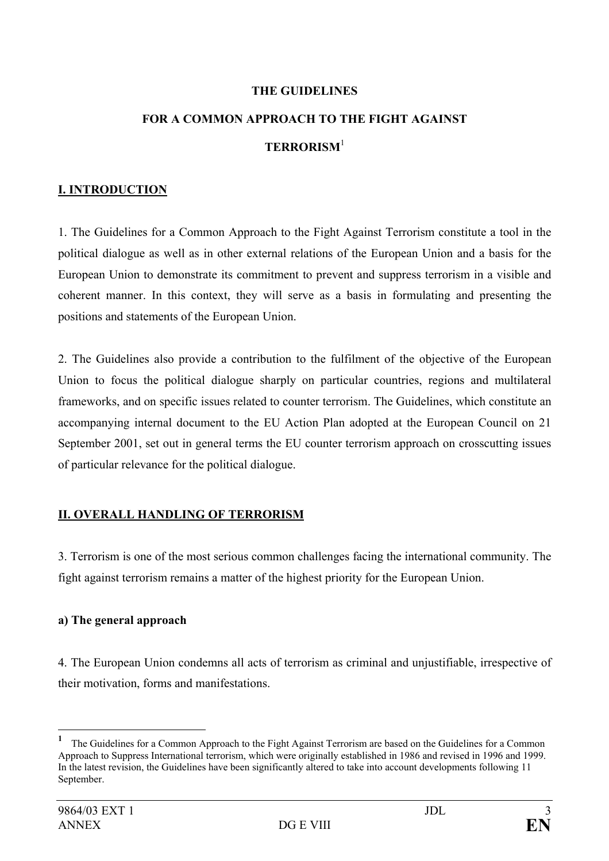#### **THE GUIDELINES**

# **FOR A COMMON APPROACH TO THE FIGHT AGAINST TERRORISM**<sup>1</sup>

#### **I. INTRODUCTION**

1. The Guidelines for a Common Approach to the Fight Against Terrorism constitute a tool in the political dialogue as well as in other external relations of the European Union and a basis for the European Union to demonstrate its commitment to prevent and suppress terrorism in a visible and coherent manner. In this context, they will serve as a basis in formulating and presenting the positions and statements of the European Union.

2. The Guidelines also provide a contribution to the fulfilment of the objective of the European Union to focus the political dialogue sharply on particular countries, regions and multilateral frameworks, and on specific issues related to counter terrorism. The Guidelines, which constitute an accompanying internal document to the EU Action Plan adopted at the European Council on 21 September 2001, set out in general terms the EU counter terrorism approach on crosscutting issues of particular relevance for the political dialogue.

### **II. OVERALL HANDLING OF TERRORISM**

3. Terrorism is one of the most serious common challenges facing the international community. The fight against terrorism remains a matter of the highest priority for the European Union.

#### **a) The general approach**

4. The European Union condemns all acts of terrorism as criminal and unjustifiable, irrespective of their motivation, forms and manifestations.

 $\overline{a}$ 

**<sup>1</sup>** The Guidelines for a Common Approach to the Fight Against Terrorism are based on the Guidelines for a Common Approach to Suppress International terrorism, which were originally established in 1986 and revised in 1996 and 1999. In the latest revision, the Guidelines have been significantly altered to take into account developments following 11 September.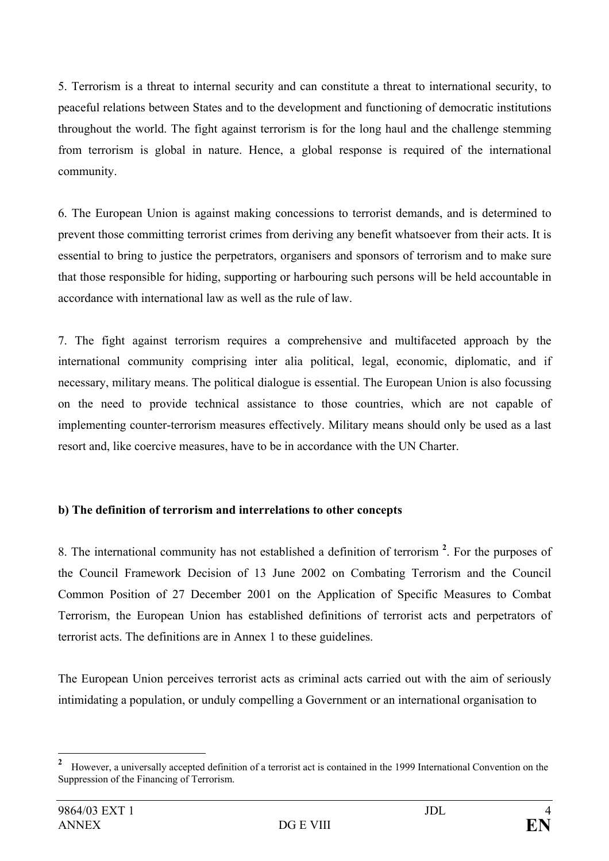5. Terrorism is a threat to internal security and can constitute a threat to international security, to peaceful relations between States and to the development and functioning of democratic institutions throughout the world. The fight against terrorism is for the long haul and the challenge stemming from terrorism is global in nature. Hence, a global response is required of the international community.

6. The European Union is against making concessions to terrorist demands, and is determined to prevent those committing terrorist crimes from deriving any benefit whatsoever from their acts. It is essential to bring to justice the perpetrators, organisers and sponsors of terrorism and to make sure that those responsible for hiding, supporting or harbouring such persons will be held accountable in accordance with international law as well as the rule of law.

7. The fight against terrorism requires a comprehensive and multifaceted approach by the international community comprising inter alia political, legal, economic, diplomatic, and if necessary, military means. The political dialogue is essential. The European Union is also focussing on the need to provide technical assistance to those countries, which are not capable of implementing counter-terrorism measures effectively. Military means should only be used as a last resort and, like coercive measures, have to be in accordance with the UN Charter.

## **b) The definition of terrorism and interrelations to other concepts**

8. The international community has not established a definition of terrorism **<sup>2</sup>** . For the purposes of the Council Framework Decision of 13 June 2002 on Combating Terrorism and the Council Common Position of 27 December 2001 on the Application of Specific Measures to Combat Terrorism, the European Union has established definitions of terrorist acts and perpetrators of terrorist acts. The definitions are in Annex 1 to these guidelines.

The European Union perceives terrorist acts as criminal acts carried out with the aim of seriously intimidating a population, or unduly compelling a Government or an international organisation to

 **2** However, a universally accepted definition of a terrorist act is contained in the 1999 International Convention on the Suppression of the Financing of Terrorism.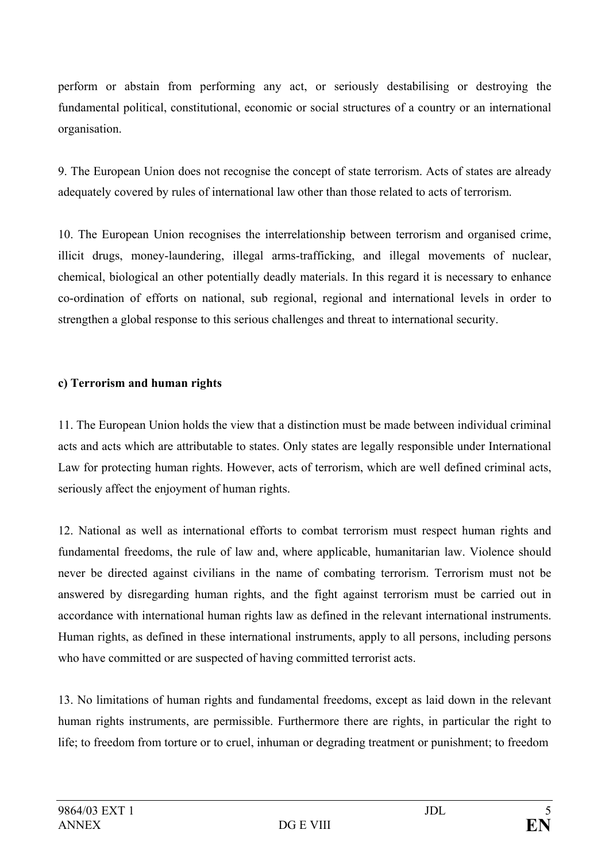perform or abstain from performing any act, or seriously destabilising or destroying the fundamental political, constitutional, economic or social structures of a country or an international organisation.

9. The European Union does not recognise the concept of state terrorism. Acts of states are already adequately covered by rules of international law other than those related to acts of terrorism.

10. The European Union recognises the interrelationship between terrorism and organised crime, illicit drugs, money-laundering, illegal arms-trafficking, and illegal movements of nuclear, chemical, biological an other potentially deadly materials. In this regard it is necessary to enhance co-ordination of efforts on national, sub regional, regional and international levels in order to strengthen a global response to this serious challenges and threat to international security.

## **c) Terrorism and human rights**

11. The European Union holds the view that a distinction must be made between individual criminal acts and acts which are attributable to states. Only states are legally responsible under International Law for protecting human rights. However, acts of terrorism, which are well defined criminal acts, seriously affect the enjoyment of human rights.

12. National as well as international efforts to combat terrorism must respect human rights and fundamental freedoms, the rule of law and, where applicable, humanitarian law. Violence should never be directed against civilians in the name of combating terrorism. Terrorism must not be answered by disregarding human rights, and the fight against terrorism must be carried out in accordance with international human rights law as defined in the relevant international instruments. Human rights, as defined in these international instruments, apply to all persons, including persons who have committed or are suspected of having committed terrorist acts.

13. No limitations of human rights and fundamental freedoms, except as laid down in the relevant human rights instruments, are permissible. Furthermore there are rights, in particular the right to life; to freedom from torture or to cruel, inhuman or degrading treatment or punishment; to freedom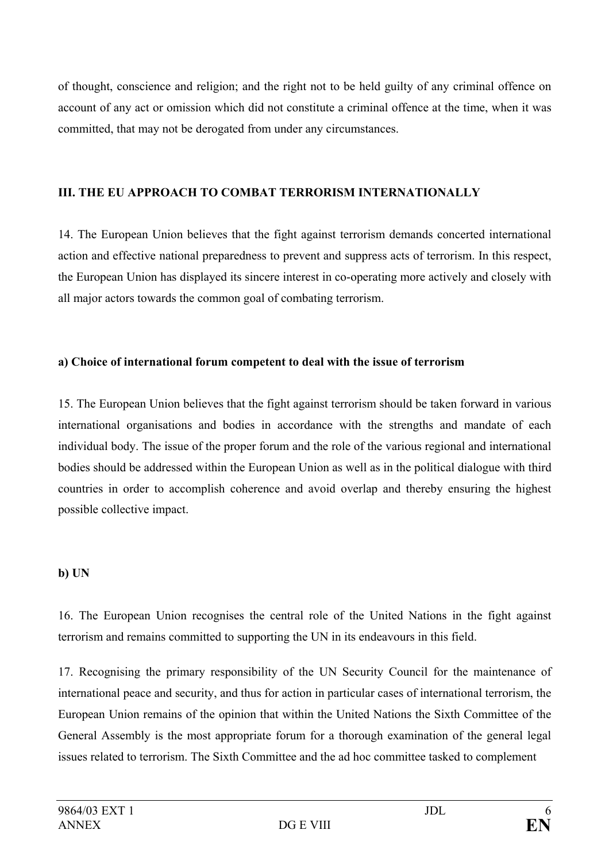of thought, conscience and religion; and the right not to be held guilty of any criminal offence on account of any act or omission which did not constitute a criminal offence at the time, when it was committed, that may not be derogated from under any circumstances.

## **III. THE EU APPROACH TO COMBAT TERRORISM INTERNATIONALLY**

14. The European Union believes that the fight against terrorism demands concerted international action and effective national preparedness to prevent and suppress acts of terrorism. In this respect, the European Union has displayed its sincere interest in co-operating more actively and closely with all major actors towards the common goal of combating terrorism.

## **a) Choice of international forum competent to deal with the issue of terrorism**

15. The European Union believes that the fight against terrorism should be taken forward in various international organisations and bodies in accordance with the strengths and mandate of each individual body. The issue of the proper forum and the role of the various regional and international bodies should be addressed within the European Union as well as in the political dialogue with third countries in order to accomplish coherence and avoid overlap and thereby ensuring the highest possible collective impact.

## **b) UN**

16. The European Union recognises the central role of the United Nations in the fight against terrorism and remains committed to supporting the UN in its endeavours in this field.

17. Recognising the primary responsibility of the UN Security Council for the maintenance of international peace and security, and thus for action in particular cases of international terrorism, the European Union remains of the opinion that within the United Nations the Sixth Committee of the General Assembly is the most appropriate forum for a thorough examination of the general legal issues related to terrorism. The Sixth Committee and the ad hoc committee tasked to complement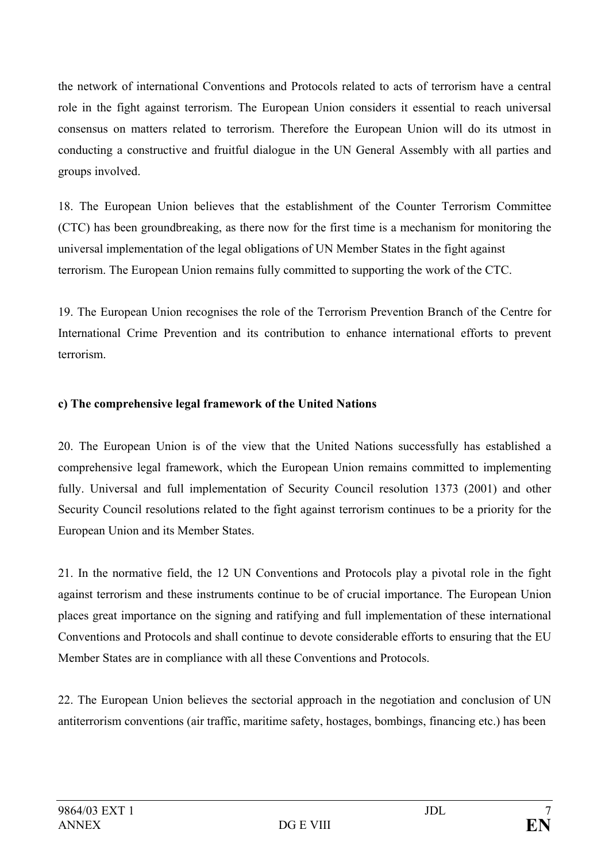the network of international Conventions and Protocols related to acts of terrorism have a central role in the fight against terrorism. The European Union considers it essential to reach universal consensus on matters related to terrorism. Therefore the European Union will do its utmost in conducting a constructive and fruitful dialogue in the UN General Assembly with all parties and groups involved.

18. The European Union believes that the establishment of the Counter Terrorism Committee (CTC) has been groundbreaking, as there now for the first time is a mechanism for monitoring the universal implementation of the legal obligations of UN Member States in the fight against terrorism. The European Union remains fully committed to supporting the work of the CTC.

19. The European Union recognises the role of the Terrorism Prevention Branch of the Centre for International Crime Prevention and its contribution to enhance international efforts to prevent terrorism.

## **c) The comprehensive legal framework of the United Nations**

20. The European Union is of the view that the United Nations successfully has established a comprehensive legal framework, which the European Union remains committed to implementing fully. Universal and full implementation of Security Council resolution 1373 (2001) and other Security Council resolutions related to the fight against terrorism continues to be a priority for the European Union and its Member States.

21. In the normative field, the 12 UN Conventions and Protocols play a pivotal role in the fight against terrorism and these instruments continue to be of crucial importance. The European Union places great importance on the signing and ratifying and full implementation of these international Conventions and Protocols and shall continue to devote considerable efforts to ensuring that the EU Member States are in compliance with all these Conventions and Protocols.

22. The European Union believes the sectorial approach in the negotiation and conclusion of UN antiterrorism conventions (air traffic, maritime safety, hostages, bombings, financing etc.) has been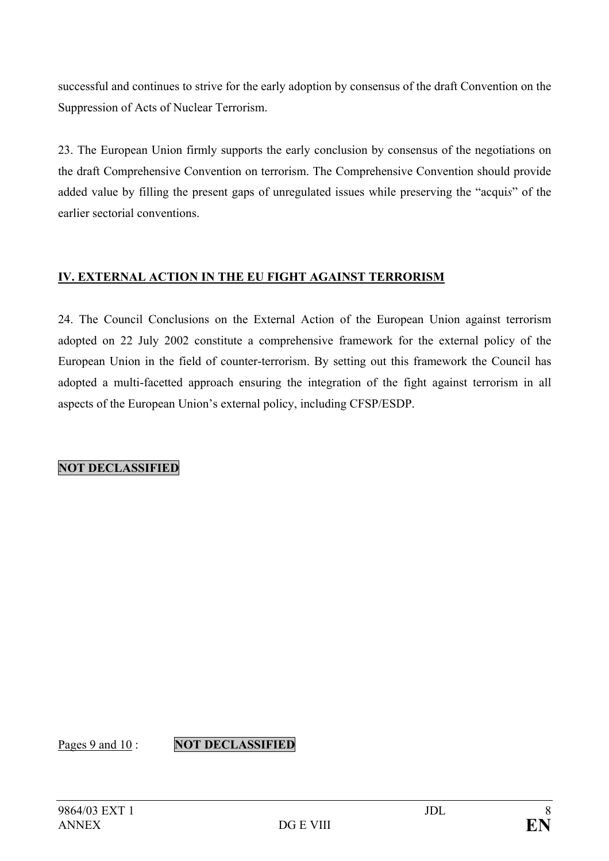successful and continues to strive for the early adoption by consensus of the draft Convention on the Suppression of Acts of Nuclear Terrorism.

23. The European Union firmly supports the early conclusion by consensus of the negotiations on the draft Comprehensive Convention on terrorism. The Comprehensive Convention should provide added value by filling the present gaps of unregulated issues while preserving the "acqui*s*" of the earlier sectorial conventions.

## **IV. EXTERNAL ACTION IN THE EU FIGHT AGAINST TERRORISM**

24. The Council Conclusions on the External Action of the European Union against terrorism adopted on 22 July 2002 constitute a comprehensive framework for the external policy of the European Union in the field of counter-terrorism. By setting out this framework the Council has adopted a multi-facetted approach ensuring the integration of the fight against terrorism in all aspects of the European Union's external policy, including CFSP/ESDP.

**NOT DECLASSIFIED** 

Pages 9 and 10 : **NOT DECLASSIFIED**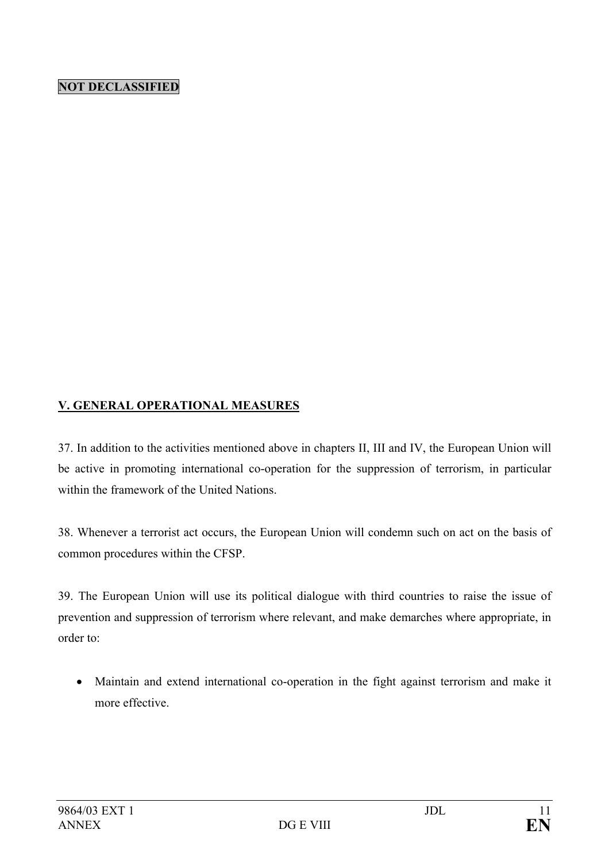## **NOT DECLASSIFIED**

### **V. GENERAL OPERATIONAL MEASURES**

37. In addition to the activities mentioned above in chapters II, III and IV, the European Union will be active in promoting international co-operation for the suppression of terrorism, in particular within the framework of the United Nations.

38. Whenever a terrorist act occurs, the European Union will condemn such on act on the basis of common procedures within the CFSP.

39. The European Union will use its political dialogue with third countries to raise the issue of prevention and suppression of terrorism where relevant, and make demarches where appropriate, in order to:

• Maintain and extend international co-operation in the fight against terrorism and make it more effective.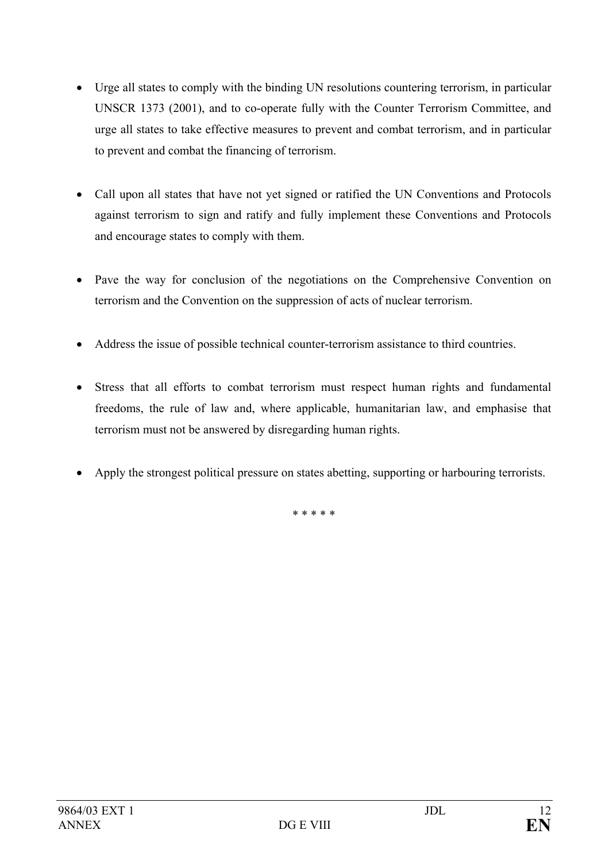- Urge all states to comply with the binding UN resolutions countering terrorism, in particular UNSCR 1373 (2001), and to co-operate fully with the Counter Terrorism Committee, and urge all states to take effective measures to prevent and combat terrorism, and in particular to prevent and combat the financing of terrorism.
- Call upon all states that have not yet signed or ratified the UN Conventions and Protocols against terrorism to sign and ratify and fully implement these Conventions and Protocols and encourage states to comply with them.
- Pave the way for conclusion of the negotiations on the Comprehensive Convention on terrorism and the Convention on the suppression of acts of nuclear terrorism.
- Address the issue of possible technical counter-terrorism assistance to third countries.
- Stress that all efforts to combat terrorism must respect human rights and fundamental freedoms, the rule of law and, where applicable, humanitarian law, and emphasise that terrorism must not be answered by disregarding human rights.
- Apply the strongest political pressure on states abetting, supporting or harbouring terrorists.

\* \* \* \* \*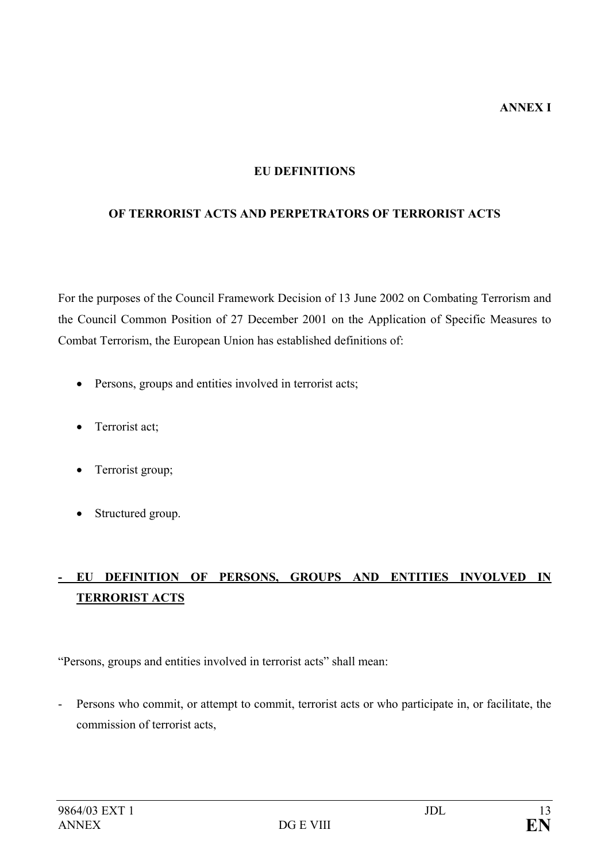#### **EU DEFINITIONS**

#### **OF TERRORIST ACTS AND PERPETRATORS OF TERRORIST ACTS**

For the purposes of the Council Framework Decision of 13 June 2002 on Combating Terrorism and the Council Common Position of 27 December 2001 on the Application of Specific Measures to Combat Terrorism, the European Union has established definitions of:

- Persons, groups and entities involved in terrorist acts;
- Terrorist act;
- Terrorist group;
- Structured group.

# **- EU DEFINITION OF PERSONS, GROUPS AND ENTITIES INVOLVED IN TERRORIST ACTS**

"Persons, groups and entities involved in terrorist acts" shall mean:

- Persons who commit, or attempt to commit, terrorist acts or who participate in, or facilitate, the commission of terrorist acts,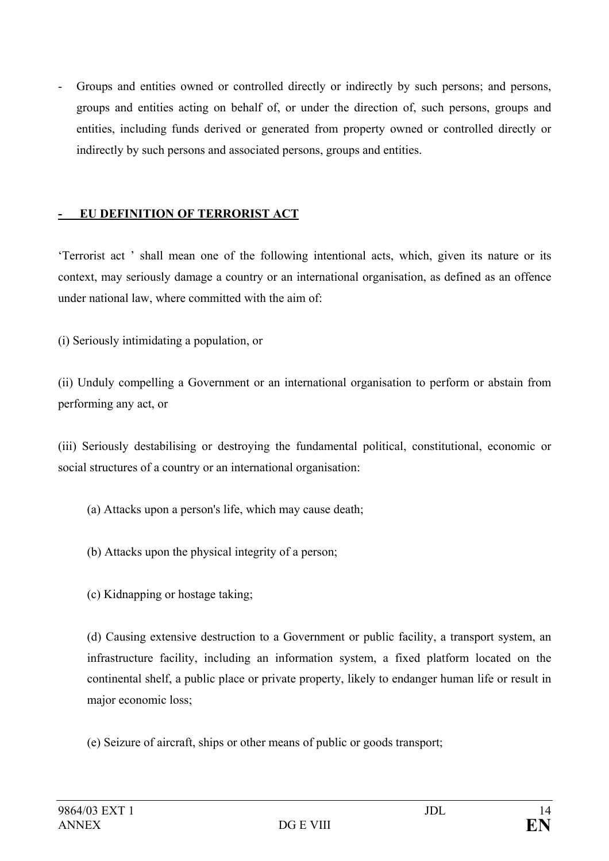- Groups and entities owned or controlled directly or indirectly by such persons; and persons, groups and entities acting on behalf of, or under the direction of, such persons, groups and entities, including funds derived or generated from property owned or controlled directly or indirectly by such persons and associated persons, groups and entities.

#### **- EU DEFINITION OF TERRORIST ACT**

'Terrorist act ' shall mean one of the following intentional acts, which, given its nature or its context, may seriously damage a country or an international organisation, as defined as an offence under national law, where committed with the aim of:

(i) Seriously intimidating a population, or

(ii) Unduly compelling a Government or an international organisation to perform or abstain from performing any act, or

(iii) Seriously destabilising or destroying the fundamental political, constitutional, economic or social structures of a country or an international organisation:

- (a) Attacks upon a person's life, which may cause death;
- (b) Attacks upon the physical integrity of a person;
- (c) Kidnapping or hostage taking;

(d) Causing extensive destruction to a Government or public facility, a transport system, an infrastructure facility, including an information system, a fixed platform located on the continental shelf, a public place or private property, likely to endanger human life or result in major economic loss;

(e) Seizure of aircraft, ships or other means of public or goods transport;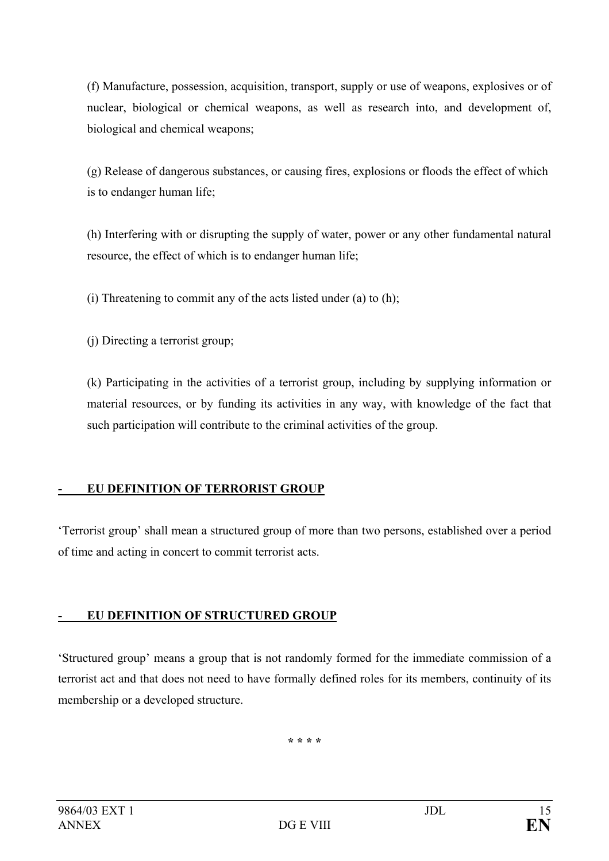(f) Manufacture, possession, acquisition, transport, supply or use of weapons, explosives or of nuclear, biological or chemical weapons, as well as research into, and development of, biological and chemical weapons;

(g) Release of dangerous substances, or causing fires, explosions or floods the effect of which is to endanger human life;

(h) Interfering with or disrupting the supply of water, power or any other fundamental natural resource, the effect of which is to endanger human life;

(i) Threatening to commit any of the acts listed under (a) to (h);

(j) Directing a terrorist group;

(k) Participating in the activities of a terrorist group, including by supplying information or material resources, or by funding its activities in any way, with knowledge of the fact that such participation will contribute to the criminal activities of the group.

## **- EU DEFINITION OF TERRORIST GROUP**

'Terrorist group' shall mean a structured group of more than two persons, established over a period of time and acting in concert to commit terrorist acts.

## **- EU DEFINITION OF STRUCTURED GROUP**

'Structured group' means a group that is not randomly formed for the immediate commission of a terrorist act and that does not need to have formally defined roles for its members, continuity of its membership or a developed structure.

**\* \* \* \***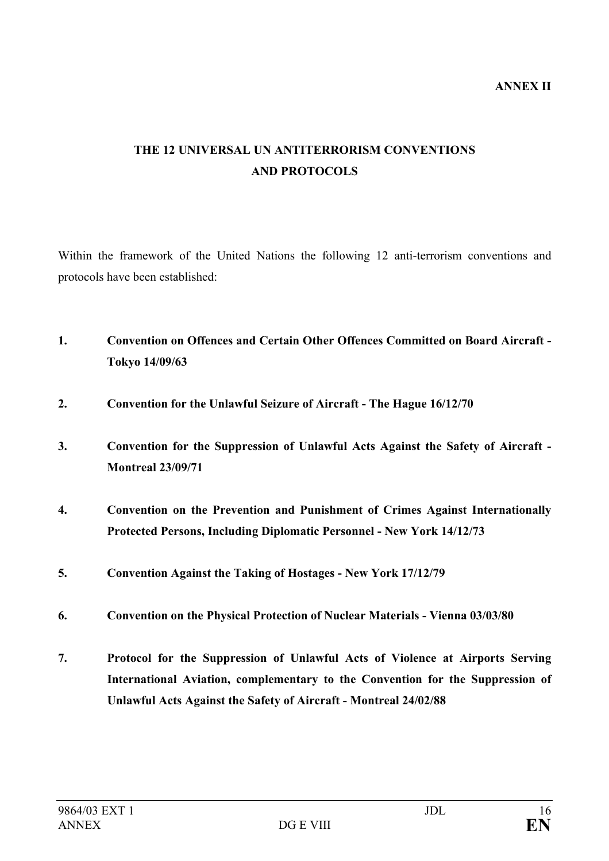# **THE 12 UNIVERSAL UN ANTITERRORISM CONVENTIONS AND PROTOCOLS**

Within the framework of the United Nations the following 12 anti-terrorism conventions and protocols have been established:

- **1. Convention on Offences and Certain Other Offences Committed on Board Aircraft Tokyo 14/09/63**
- **2. Convention for the Unlawful Seizure of Aircraft The Hague 16/12/70**
- **3. Convention for the Suppression of Unlawful Acts Against the Safety of Aircraft Montreal 23/09/71**
- **4. Convention on the Prevention and Punishment of Crimes Against Internationally Protected Persons, Including Diplomatic Personnel - New York 14/12/73**
- **5. Convention Against the Taking of Hostages New York 17/12/79**
- **6. Convention on the Physical Protection of Nuclear Materials Vienna 03/03/80**
- **7. Protocol for the Suppression of Unlawful Acts of Violence at Airports Serving International Aviation, complementary to the Convention for the Suppression of Unlawful Acts Against the Safety of Aircraft - Montreal 24/02/88**